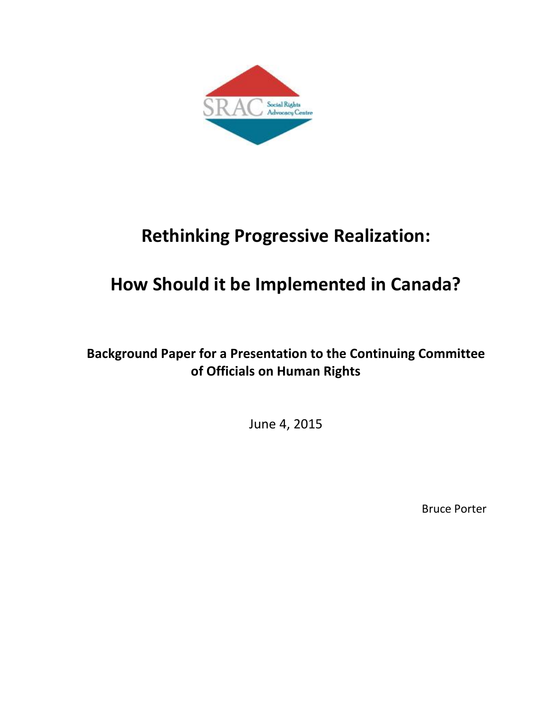

# **Rethinking Progressive Realization:**

# **How Should it be Implemented in Canada?**

## **Background Paper for a Presentation to the Continuing Committee of Officials on Human Rights**

June 4, 2015

Bruce Porter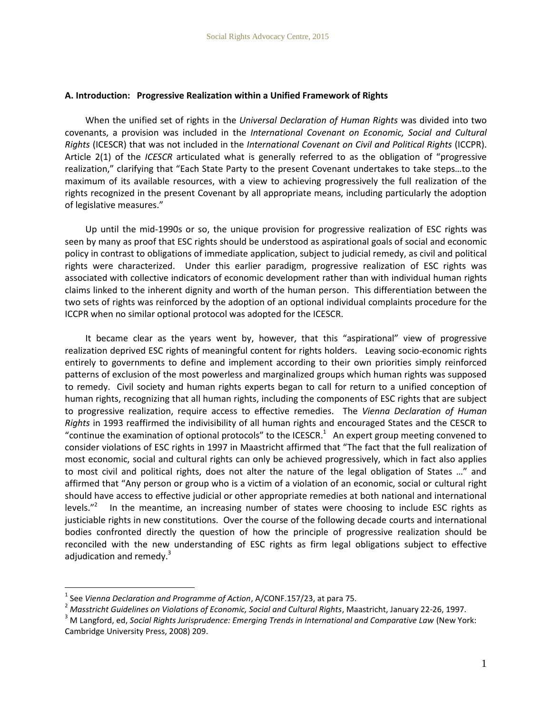#### **A. Introduction: Progressive Realization within a Unified Framework of Rights**

When the unified set of rights in the *Universal Declaration of Human Rights* was divided into two covenants, a provision was included in the *International Covenant on Economic, Social and Cultural Rights* (ICESCR) that was not included in the *International Covenant on Civil and Political Rights* (ICCPR). Article 2(1) of the *ICESCR* articulated what is generally referred to as the obligation of "progressive realization," clarifying that "Each State Party to the present Covenant undertakes to take steps…to the maximum of its available resources, with a view to achieving progressively the full realization of the rights recognized in the present Covenant by all appropriate means, including particularly the adoption of legislative measures."

Up until the mid-1990s or so, the unique provision for progressive realization of ESC rights was seen by many as proof that ESC rights should be understood as aspirational goals of social and economic policy in contrast to obligations of immediate application, subject to judicial remedy, as civil and political rights were characterized. Under this earlier paradigm, progressive realization of ESC rights was associated with collective indicators of economic development rather than with individual human rights claims linked to the inherent dignity and worth of the human person. This differentiation between the two sets of rights was reinforced by the adoption of an optional individual complaints procedure for the ICCPR when no similar optional protocol was adopted for the ICESCR.

It became clear as the years went by, however, that this "aspirational" view of progressive realization deprived ESC rights of meaningful content for rights holders. Leaving socio-economic rights entirely to governments to define and implement according to their own priorities simply reinforced patterns of exclusion of the most powerless and marginalized groups which human rights was supposed to remedy. Civil society and human rights experts began to call for return to a unified conception of human rights, recognizing that all human rights, including the components of ESC rights that are subject to progressive realization, require access to effective remedies. The *Vienna Declaration of Human Rights* in 1993 reaffirmed the indivisibility of all human rights and encouraged States and the CESCR to "continue the examination of optional protocols" to the ICESCR.<sup>1</sup> An expert group meeting convened to consider violations of ESC rights in 1997 in Maastricht affirmed that "The fact that the full realization of most economic, social and cultural rights can only be achieved progressively, which in fact also applies to most civil and political rights, does not alter the nature of the legal obligation of States …" and affirmed that "Any person or group who is a victim of a violation of an economic, social or cultural right should have access to effective judicial or other appropriate remedies at both national and international levels."<sup>2</sup> In the meantime, an increasing number of states were choosing to include ESC rights as justiciable rights in new constitutions. Over the course of the following decade courts and international bodies confronted directly the question of how the principle of progressive realization should be reconciled with the new understanding of ESC rights as firm legal obligations subject to effective adjudication and remedy.<sup>3</sup>

<sup>1</sup> See *Vienna Declaration and Programme of Action*, A/CONF.157/23, at para 75.

<sup>&</sup>lt;sup>2</sup> Masstricht Guidelines on Violations of Economic, Social and Cultural Rights, Maastricht, January 22-26, 1997.

<sup>3</sup> M Langford, ed, *Social Rights Jurisprudence: Emerging Trends in International and Comparative Law* (New York: Cambridge University Press, 2008) 209.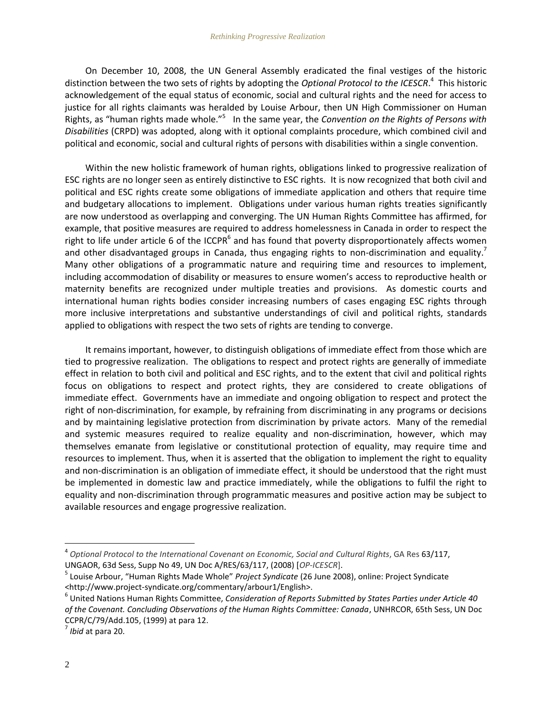<span id="page-2-0"></span>On December 10, 2008, the UN General Assembly eradicated the final vestiges of the historic distinction between the two sets of rights by adopting the *Optional Protocol to the ICESCR*. 4 This historic acknowledgement of the equal status of economic, social and cultural rights and the need for access to justice for all rights claimants was heralded by Louise Arbour, then UN High Commissioner on Human Rights, as "human rights made whole."<sup>5</sup> In the same year, the *Convention on the Rights of Persons with Disabilities* (CRPD) was adopted, along with it optional complaints procedure, which combined civil and political and economic, social and cultural rights of persons with disabilities within a single convention.

Within the new holistic framework of human rights, obligations linked to progressive realization of ESC rights are no longer seen as entirely distinctive to ESC rights. It is now recognized that both civil and political and ESC rights create some obligations of immediate application and others that require time and budgetary allocations to implement. Obligations under various human rights treaties significantly are now understood as overlapping and converging. The UN Human Rights Committee has affirmed, for example, that positive measures are required to address homelessness in Canada in order to respect the right to life under article 6 of the ICCPR<sup>6</sup> and has found that poverty disproportionately affects women and other disadvantaged groups in Canada, thus engaging rights to non-discrimination and equality.<sup>7</sup> Many other obligations of a programmatic nature and requiring time and resources to implement, including accommodation of disability or measures to ensure women's access to reproductive health or maternity benefits are recognized under multiple treaties and provisions. As domestic courts and international human rights bodies consider increasing numbers of cases engaging ESC rights through more inclusive interpretations and substantive understandings of civil and political rights, standards applied to obligations with respect the two sets of rights are tending to converge.

It remains important, however, to distinguish obligations of immediate effect from those which are tied to progressive realization. The obligations to respect and protect rights are generally of immediate effect in relation to both civil and political and ESC rights, and to the extent that civil and political rights focus on obligations to respect and protect rights, they are considered to create obligations of immediate effect. Governments have an immediate and ongoing obligation to respect and protect the right of non-discrimination, for example, by refraining from discriminating in any programs or decisions and by maintaining legislative protection from discrimination by private actors. Many of the remedial and systemic measures required to realize equality and non-discrimination, however, which may themselves emanate from legislative or constitutional protection of equality, may require time and resources to implement. Thus, when it is asserted that the obligation to implement the right to equality and non-discrimination is an obligation of immediate effect, it should be understood that the right must be implemented in domestic law and practice immediately, while the obligations to fulfil the right to equality and non-discrimination through programmatic measures and positive action may be subject to available resources and engage progressive realization.

<sup>4</sup> *Optional Protocol to the International Covenant on Economic, Social and Cultural Rights*, GA Res 63/117, UNGAOR, 63d Sess, Supp No 49, UN Doc A/RES/63/117, (2008) [*OP-ICESCR*].

<sup>5</sup> Louise Arbour, "Human Rights Made Whole" *Project Syndicate* (26 June 2008), online: Project Syndicate <http://www.project-syndicate.org/commentary/arbour1/English>.

<sup>6</sup> United Nations Human Rights Committee, *Consideration of Reports Submitted by States Parties under Article 40 of the Covenant. Concluding Observations of the Human Rights Committee: Canada*, UNHRCOR, 65th Sess, UN Doc CCPR/C/79/Add.105, (1999) at para 12.

<sup>7</sup> *Ibid* at para 20.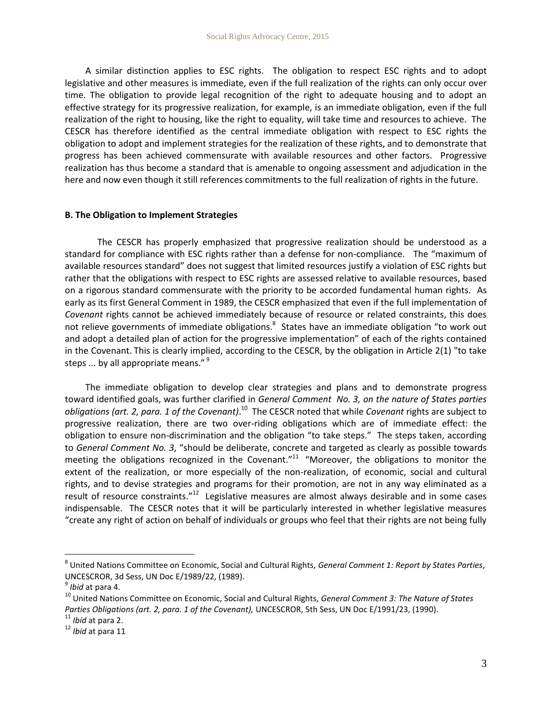A similar distinction applies to ESC rights. The obligation to respect ESC rights and to adopt legislative and other measures is immediate, even if the full realization of the rights can only occur over time. The obligation to provide legal recognition of the right to adequate housing and to adopt an effective strategy for its progressive realization, for example, is an immediate obligation, even if the full realization of the right to housing, like the right to equality, will take time and resources to achieve. The CESCR has therefore identified as the central immediate obligation with respect to ESC rights the obligation to adopt and implement strategies for the realization of these rights, and to demonstrate that progress has been achieved commensurate with available resources and other factors. Progressive realization has thus become a standard that is amenable to ongoing assessment and adjudication in the here and now even though it still references commitments to the full realization of rights in the future.

#### **B. The Obligation to Implement Strategies**

The CESCR has properly emphasized that progressive realization should be understood as a standard for compliance with ESC rights rather than a defense for non-compliance. The "maximum of available resources standard" does not suggest that limited resources justify a violation of ESC rights but rather that the obligations with respect to ESC rights are assessed relative to available resources, based on a rigorous standard commensurate with the priority to be accorded fundamental human rights. As early as its first General Comment in 1989, the CESCR emphasized that even if the full implementation of *Covenant* rights cannot be achieved immediately because of resource or related constraints, this does not relieve governments of immediate obligations.<sup>8</sup> States have an immediate obligation "to work out and adopt a detailed plan of action for the progressive implementation" of each of the rights contained in the Covenant. This is clearly implied, according to the CESCR, by the obligation in Article 2(1) "to take steps ... by all appropriate means." $9$ 

<span id="page-3-0"></span>The immediate obligation to develop clear strategies and plans and to demonstrate progress toward identified goals, was further clarified in *General Comment No. 3, on the nature of States parties*  obligations (art. 2, para. 1 of the Covenant).<sup>10</sup> The CESCR noted that while *Covenant* rights are subject to progressive realization, there are two over-riding obligations which are of immediate effect: the obligation to ensure non-discrimination and the obligation "to take steps." The steps taken, according to *General Comment No. 3*, "should be deliberate, concrete and targeted as clearly as possible towards meeting the obligations recognized in the Covenant."<sup>11</sup> "Moreover, the obligations to monitor the extent of the realization, or more especially of the non-realization, of economic, social and cultural rights, and to devise strategies and programs for their promotion, are not in any way eliminated as a result of resource constraints."<sup>12</sup> Legislative measures are almost always desirable and in some cases indispensable. The CESCR notes that it will be particularly interested in whether legislative measures "create any right of action on behalf of individuals or groups who feel that their rights are not being fully

<sup>8</sup> United Nations Committee on Economic, Social and Cultural Rights, *General Comment 1: Report by States Parties*, UNCESCROR, 3d Sess, UN Doc E/1989/22, (1989).

<sup>9</sup> *Ibid* at para 4.

<sup>10</sup> United Nations Committee on Economic, Social and Cultural Rights, *General Comment 3: The Nature of States*  Parties Obligations (art. 2, para. 1 of the Covenant), UNCESCROR, 5th Sess, UN Doc E/1991/23, (1990).

<sup>11</sup> *Ibid* at para 2.

<sup>12</sup> *Ibid* at para 11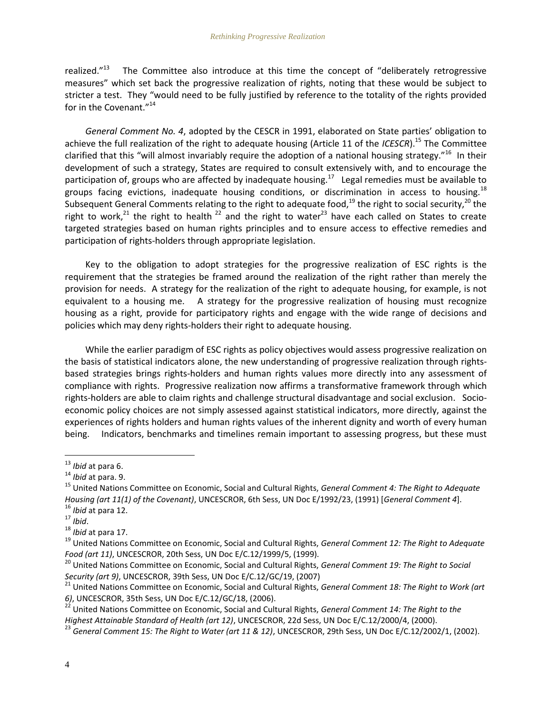realized."<sup>13</sup> The Committee also introduce at this time the concept of "deliberately retrogressive measures" which set back the progressive realization of rights, noting that these would be subject to stricter a test. They "would need to be fully justified by reference to the totality of the rights provided for in the Covenant."<sup>14</sup>

*General Comment No. 4*, adopted by the CESCR in 1991, elaborated on State parties' obligation to achieve the full realization of the right to adequate housing (Article 11 of the *ICESCR*).<sup>15</sup> The Committee clarified that this "will almost invariably require the adoption of a national housing strategy."<sup>16</sup> In their development of such a strategy, States are required to consult extensively with, and to encourage the participation of, groups who are affected by inadequate housing.<sup>17</sup> Legal remedies must be available to groups facing evictions, inadequate housing conditions, or discrimination in access to housing.<sup>18</sup> Subsequent General Comments relating to the right to adequate food,<sup>19</sup> the right to social security,<sup>20</sup> the right to work,<sup>21</sup> the right to health<sup>22</sup> and the right to water<sup>23</sup> have each called on States to create targeted strategies based on human rights principles and to ensure access to effective remedies and participation of rights-holders through appropriate legislation.

Key to the obligation to adopt strategies for the progressive realization of ESC rights is the requirement that the strategies be framed around the realization of the right rather than merely the provision for needs. A strategy for the realization of the right to adequate housing, for example, is not equivalent to a housing me. A strategy for the progressive realization of housing must recognize housing as a right, provide for participatory rights and engage with the wide range of decisions and policies which may deny rights-holders their right to adequate housing.

While the earlier paradigm of ESC rights as policy objectives would assess progressive realization on the basis of statistical indicators alone, the new understanding of progressive realization through rightsbased strategies brings rights-holders and human rights values more directly into any assessment of compliance with rights. Progressive realization now affirms a transformative framework through which rights-holders are able to claim rights and challenge structural disadvantage and social exclusion. Socioeconomic policy choices are not simply assessed against statistical indicators, more directly, against the experiences of rights holders and human rights values of the inherent dignity and worth of every human being. Indicators, benchmarks and timelines remain important to assessing progress, but these must

<sup>13</sup> *Ibid* at para 6.

<sup>14</sup> *Ibid* at para. 9.

<sup>15</sup> United Nations Committee on Economic, Social and Cultural Rights, *General Comment 4: The Right to Adequate Housing (art 11(1) of the Covenant)*, UNCESCROR, 6th Sess, UN Doc E/1992/23, (1991) [*General Comment 4*]. <sup>16</sup> *Ibid* at para 12.

<sup>17</sup> *Ibid*.

<sup>18</sup> *Ibid* at para 17.

<sup>19</sup> United Nations Committee on Economic, Social and Cultural Rights, *General Comment 12: The Right to Adequate Food (art 11)*, UNCESCROR, 20th Sess, UN Doc E/C.12/1999/5, (1999).

<sup>20</sup> United Nations Committee on Economic, Social and Cultural Rights, *General Comment 19: The Right to Social Security (art 9)*, UNCESCROR, 39th Sess, UN Doc E/C.12/GC/19, (2007)

<sup>21</sup> United Nations Committee on Economic, Social and Cultural Rights, *General Comment 18: The Right to Work (art 6)*, UNCESCROR, 35th Sess, UN Doc E/C.12/GC/18, (2006).

<sup>22</sup> United Nations Committee on Economic, Social and Cultural Rights, *General Comment 14: The Right to the Highest Attainable Standard of Health (art 12)*, UNCESCROR, 22d Sess, UN Doc E/C.12/2000/4, (2000).

<sup>23</sup> *General Comment 15: The Right to Water (art 11 & 12)*, UNCESCROR, 29th Sess, UN Doc E/C.12/2002/1, (2002).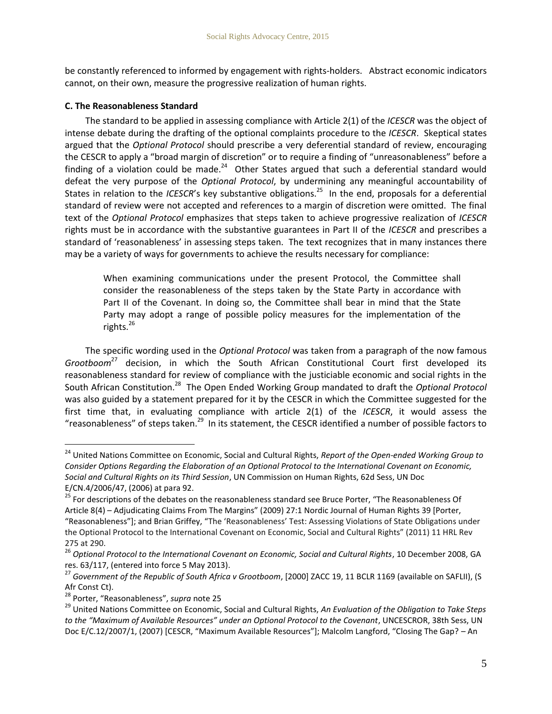be constantly referenced to informed by engagement with rights-holders. Abstract economic indicators cannot, on their own, measure the progressive realization of human rights.

#### **C. The Reasonableness Standard**

The standard to be applied in assessing compliance with Article 2(1) of the *ICESCR* was the object of intense debate during the drafting of the optional complaints procedure to the *ICESCR*. Skeptical states argued that the *Optional Protocol* should prescribe a very deferential standard of review, encouraging the CESCR to apply a "broad margin of discretion" or to require a finding of "unreasonableness" before a finding of a violation could be made. $^{24}$  Other States argued that such a deferential standard would defeat the very purpose of the *Optional Protocol*, by undermining any meaningful accountability of States in relation to the *ICESCR'*s key substantive obligations.<sup>25</sup> In the end, proposals for a deferential standard of review were not accepted and references to a margin of discretion were omitted. The final text of the *Optional Protocol* emphasizes that steps taken to achieve progressive realization of *ICESCR* rights must be in accordance with the substantive guarantees in Part II of the *ICESCR* and prescribes a standard of 'reasonableness' in assessing steps taken. The text recognizes that in many instances there may be a variety of ways for governments to achieve the results necessary for compliance:

<span id="page-5-0"></span>When examining communications under the present Protocol, the Committee shall consider the reasonableness of the steps taken by the State Party in accordance with Part II of the Covenant. In doing so, the Committee shall bear in mind that the State Party may adopt a range of possible policy measures for the implementation of the rights. $^{26}$ 

The specific wording used in the *Optional Protocol* was taken from a paragraph of the now famous *Grootboom*<sup>27</sup> decision, in which the South African Constitutional Court first developed its reasonableness standard for review of compliance with the justiciable economic and social rights in the South African Constitution.<sup>28</sup> The Open Ended Working Group mandated to draft the *Optional Protocol* was also guided by a statement prepared for it by the CESCR in which the Committee suggested for the first time that, in evaluating compliance with article 2(1) of the *ICESCR*, it would assess the "reasonableness" of steps taken.<sup>29</sup> In its statement, the CESCR identified a number of possible factors to

<sup>24</sup> United Nations Committee on Economic, Social and Cultural Rights, *Report of the Open-ended Working Group to Consider Options Regarding the Elaboration of an Optional Protocol to the International Covenant on Economic, Social and Cultural Rights on its Third Session*, UN Commission on Human Rights, 62d Sess, UN Doc E/CN.4/2006/47, (2006) at para 92.

<sup>&</sup>lt;sup>25</sup> For descriptions of the debates on the reasonableness standard see Bruce Porter, "The Reasonableness Of Article 8(4) – Adjudicating Claims From The Margins" (2009) 27:1 Nordic Journal of Human Rights 39 [Porter, "Reasonableness"]; and Brian Griffey, "The 'Reasonableness' Test: Assessing Violations of State Obligations under the Optional Protocol to the International Covenant on Economic, Social and Cultural Rights" (2011) 11 HRL Rev 275 at 290.

<sup>&</sup>lt;sup>26</sup> Optional Protocol to the International Covenant on Economic, Social and Cultural Rights, 10 December 2008, GA res. 63/117, (entered into force 5 May 2013).

<sup>27</sup> *Government of the Republic of South Africa v Grootboom*, [2000] ZACC 19, 11 BCLR 1169 (available on SAFLII), (S Afr Const Ct).

<sup>28</sup> Porter, "Reasonableness", *supra* not[e 25](#page-5-0)

<sup>29</sup> United Nations Committee on Economic, Social and Cultural Rights, *An Evaluation of the Obligation to Take Steps to the "Maximum of Available Resources" under an Optional Protocol to the Covenant*, UNCESCROR, 38th Sess, UN Doc E/C.12/2007/1, (2007) [CESCR, "Maximum Available Resources"]; Malcolm Langford, "Closing The Gap? – An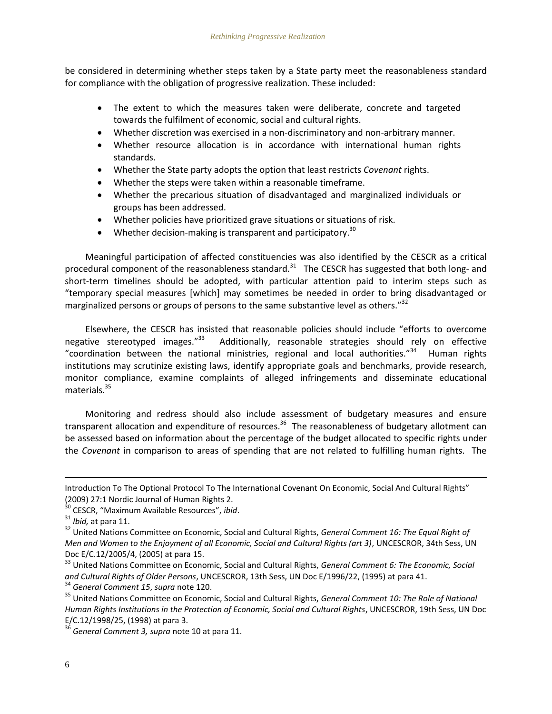be considered in determining whether steps taken by a State party meet the reasonableness standard for compliance with the obligation of progressive realization. These included:

- The extent to which the measures taken were deliberate, concrete and targeted towards the fulfilment of economic, social and cultural rights.
- Whether discretion was exercised in a non-discriminatory and non-arbitrary manner.
- Whether resource allocation is in accordance with international human rights standards.
- Whether the State party adopts the option that least restricts *Covenant* rights.
- Whether the steps were taken within a reasonable timeframe.
- Whether the precarious situation of disadvantaged and marginalized individuals or groups has been addressed.
- Whether policies have prioritized grave situations or situations of risk.
- Whether decision-making is transparent and participatory.<sup>30</sup>

Meaningful participation of affected constituencies was also identified by the CESCR as a critical procedural component of the reasonableness standard.<sup>31</sup> The CESCR has suggested that both long- and short-term timelines should be adopted, with particular attention paid to interim steps such as "temporary special measures [which] may sometimes be needed in order to bring disadvantaged or marginalized persons or groups of persons to the same substantive level as others." $32$ 

Elsewhere, the CESCR has insisted that reasonable policies should include "efforts to overcome negative stereotyped images."<sup>33</sup> Additionally, reasonable strategies should rely on effective "coordination between the national ministries, regional and local authorities."<sup>34</sup> Human rights institutions may scrutinize existing laws, identify appropriate goals and benchmarks, provide research, monitor compliance, examine complaints of alleged infringements and disseminate educational materials. $35$ 

Monitoring and redress should also include assessment of budgetary measures and ensure transparent allocation and expenditure of resources.<sup>36</sup> The reasonableness of budgetary allotment can be assessed based on information about the percentage of the budget allocated to specific rights under the *Covenant* in comparison to areas of spending that are not related to fulfilling human rights. The

Introduction To The Optional Protocol To The International Covenant On Economic, Social And Cultural Rights" (2009) 27:1 Nordic Journal of Human Rights 2.

<sup>30</sup> CESCR, "Maximum Available Resources", *ibid*.

<sup>31</sup> *Ibid,* at para 11.

<sup>32</sup> United Nations Committee on Economic, Social and Cultural Rights, *General Comment 16: The Equal Right of Men and Women to the Enjoyment of all Economic, Social and Cultural Rights (art 3)*, UNCESCROR, 34th Sess, UN Doc E/C.12/2005/4, (2005) at para 15.

<sup>33</sup> United Nations Committee on Economic, Social and Cultural Rights, *General Comment 6: The Economic, Social and Cultural Rights of Older Persons*, UNCESCROR, 13th Sess, UN Doc E/1996/22, (1995) at para 41.

<sup>34</sup> *General Comment 15*, *supra* note 120.

<sup>35</sup> United Nations Committee on Economic, Social and Cultural Rights, *General Comment 10: The Role of National Human Rights Institutions in the Protection of Economic, Social and Cultural Rights*, UNCESCROR, 19th Sess, UN Doc E/C.12/1998/25, (1998) at para 3.

<sup>36</sup> *General Comment 3, supra* not[e 10](#page-3-0) at para 11.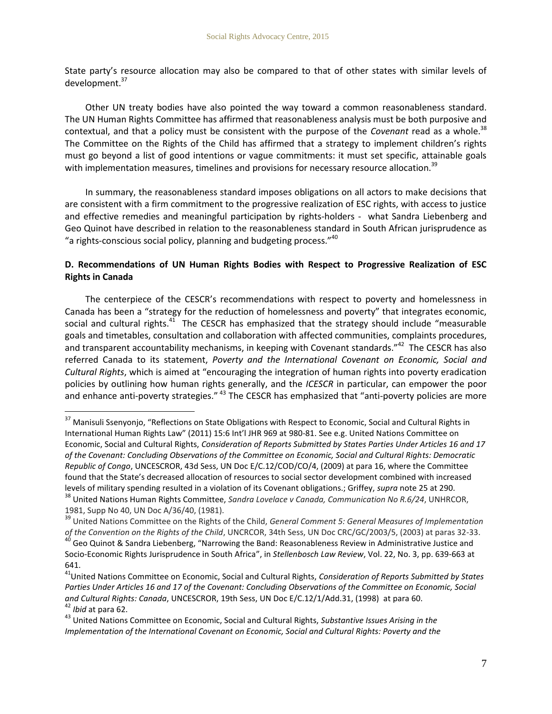State party's resource allocation may also be compared to that of other states with similar levels of development.<sup>37</sup>

Other UN treaty bodies have also pointed the way toward a common reasonableness standard. The UN Human Rights Committee has affirmed that reasonableness analysis must be both purposive and contextual, and that a policy must be consistent with the purpose of the *Covenant* read as a whole.<sup>38</sup> The Committee on the Rights of the Child has affirmed that a strategy to implement children's rights must go beyond a list of good intentions or vague commitments: it must set specific, attainable goals with implementation measures, timelines and provisions for necessary resource allocation.<sup>39</sup>

In summary, the reasonableness standard imposes obligations on all actors to make decisions that are consistent with a firm commitment to the progressive realization of ESC rights, with access to justice and effective remedies and meaningful participation by rights-holders - what Sandra Liebenberg and Geo Quinot have described in relation to the reasonableness standard in South African jurisprudence as "a rights-conscious social policy, planning and budgeting process."<sup>40</sup>

### **D. Recommendations of UN Human Rights Bodies with Respect to Progressive Realization of ESC Rights in Canada**

The centerpiece of the CESCR's recommendations with respect to poverty and homelessness in Canada has been a "strategy for the reduction of homelessness and poverty" that integrates economic, social and cultural rights.<sup>41</sup> The CESCR has emphasized that the strategy should include "measurable goals and timetables, consultation and collaboration with affected communities, complaints procedures, and transparent accountability mechanisms, in keeping with Covenant standards."<sup>42</sup> The CESCR has also referred Canada to its statement, *Poverty and the International Covenant on Economic, Social and Cultural Rights*, which is aimed at "encouraging the integration of human rights into poverty eradication policies by outlining how human rights generally, and the *ICESCR* in particular, can empower the poor and enhance anti-poverty strategies." <sup>43</sup> The CESCR has emphasized that "anti-poverty policies are more

<sup>&</sup>lt;sup>37</sup> Manisuli Ssenyonio, "Reflections on State Obligations with Respect to Economic, Social and Cultural Rights in International Human Rights Law" (2011) 15:6 Int'l JHR 969 at 980-81. See e.g. United Nations Committee on Economic, Social and Cultural Rights, *Consideration of Reports Submitted by States Parties Under Articles 16 and 17 of the Covenant: Concluding Observations of the Committee on Economic, Social and Cultural Rights: Democratic Republic of Congo*, UNCESCROR, 43d Sess, UN Doc E/C.12/COD/CO/4, (2009) at para 16, where the Committee found that the State's decreased allocation of resources to social sector development combined with increased levels of military spending resulted in a violation of its Covenant obligations.; Griffey, *supra* not[e 25](#page-5-0) at 290. <sup>38</sup> United Nations Human Rights Committee, *Sandra Lovelace v Canada, Communication No R.6/24*, UNHRCOR,

<sup>1981,</sup> Supp No 40, UN Doc A/36/40, (1981).

<sup>39</sup> United Nations Committee on the Rights of the Child, *General Comment 5: General Measures of Implementation of the Convention on the Rights of the Child*, UNCRCOR, 34th Sess, UN Doc CRC/GC/2003/5, (2003) at paras 32-33.

<sup>40</sup> Geo Quinot & Sandra Liebenberg, "Narrowing the Band: Reasonableness Review in Administrative Justice and Socio-Economic Rights Jurisprudence in South Africa", in *Stellenbosch Law Review*, Vol. 22, No. 3, pp. 639-663 at 641.

<sup>41</sup>United Nations Committee on Economic, Social and Cultural Rights, *Consideration of Reports Submitted by States Parties Under Articles 16 and 17 of the Covenant: Concluding Observations of the Committee on Economic, Social and Cultural Rights: Canada*, UNCESCROR, 19th Sess, UN Doc E/C.12/1/Add.31, (1998) at para 60. <sup>42</sup> *Ibid* at para 62.

<sup>43</sup> United Nations Committee on Economic, Social and Cultural Rights, *Substantive Issues Arising in the Implementation of the International Covenant on Economic, Social and Cultural Rights: Poverty and the*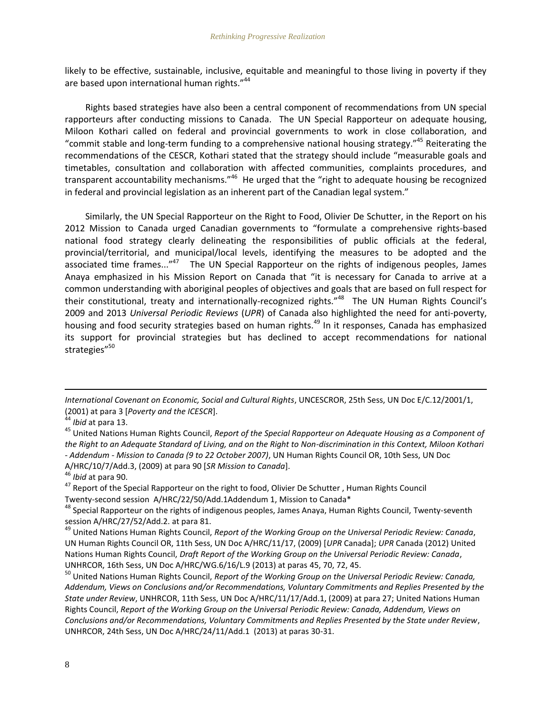likely to be effective, sustainable, inclusive, equitable and meaningful to those living in poverty if they are based upon international human rights."<sup>44</sup>

Rights based strategies have also been a central component of recommendations from UN special rapporteurs after conducting missions to Canada. The UN Special Rapporteur on adequate housing, Miloon Kothari called on federal and provincial governments to work in close collaboration, and "commit stable and long-term funding to a comprehensive national housing strategy."<sup>45</sup> Reiterating the recommendations of the CESCR, Kothari stated that the strategy should include "measurable goals and timetables, consultation and collaboration with affected communities, complaints procedures, and transparent accountability mechanisms."<sup>46</sup> He urged that the "right to adequate housing be recognized in federal and provincial legislation as an inherent part of the Canadian legal system."

Similarly, the UN Special Rapporteur on the Right to Food, Olivier De Schutter, in the Report on his 2012 Mission to Canada urged Canadian governments to "formulate a comprehensive rights-based national food strategy clearly delineating the responsibilities of public officials at the federal, provincial/territorial, and municipal/local levels, identifying the measures to be adopted and the associated time frames..."<sup>47</sup> The UN Special Rapporteur on the rights of indigenous peoples, James Anaya emphasized in his Mission Report on Canada that "it is necessary for Canada to arrive at a common understanding with aboriginal peoples of objectives and goals that are based on full respect for their constitutional, treaty and internationally-recognized rights."<sup>48</sup> The UN Human Rights Council's 2009 and 2013 *Universal Periodic Reviews* (*UPR*) of Canada also highlighted the need for anti-poverty, housing and food security strategies based on human rights.<sup>49</sup> In it responses, Canada has emphasized its support for provincial strategies but has declined to accept recommendations for national strategies"<sup>50</sup>

 $\overline{a}$ 

*Ibid* at para 90.

*International Covenant on Economic, Social and Cultural Rights*, UNCESCROR, 25th Sess, UN Doc E/C.12/2001/1, (2001) at para 3 [*Poverty and the ICESCR*].

*Ibid* at para 13.

<sup>45</sup> United Nations Human Rights Council, *Report of the Special Rapporteur on Adequate Housing as a Component of the Right to an Adequate Standard of Living, and on the Right to Non-discrimination in this Context, Miloon Kothari - Addendum - Mission to Canada (9 to 22 October 2007)*, UN Human Rights Council OR, 10th Sess, UN Doc A/HRC/10/7/Add.3, (2009) at para 90 [*SR Mission to Canada*].

<sup>&</sup>lt;sup>47</sup> Report of the Special Rapporteur on the right to food, Olivier De Schutter, Human Rights Council Twenty-second session A/HRC/22/50/Add.1Addendum 1, Mission to Canada\*

AB Special Rapporteur on the rights of indigenous peoples, James Anaya, Human Rights Council, Twenty-seventh session A/HRC/27/52/Add.2. at para 81.

<sup>49</sup> United Nations Human Rights Council, *Report of the Working Group on the Universal Periodic Review: Canada*, UN Human Rights Council OR, 11th Sess, UN Doc A/HRC/11/17, (2009) [*UPR* Canada]; *UPR* Canada (2012) United Nations Human Rights Council, *Draft Report of the Working Group on the Universal Periodic Review: Canada*, UNHRCOR, 16th Sess, UN Doc A/HRC/WG.6/16/L.9 (2013) at paras 45, 70, 72, 45.

<sup>50</sup> United Nations Human Rights Council, *Report of the Working Group on the Universal Periodic Review: Canada, Addendum, Views on Conclusions and/or Recommendations, Voluntary Commitments and Replies Presented by the State under Review*, UNHRCOR, 11th Sess, UN Doc A/HRC/11/17/Add.1, (2009) at para 27; United Nations Human Rights Council, *Report of the Working Group on the Universal Periodic Review: Canada, Addendum, Views on Conclusions and/or Recommendations, Voluntary Commitments and Replies Presented by the State under Review*, UNHRCOR, 24th Sess, UN Doc A/HRC/24/11/Add.1 (2013) at paras 30-31.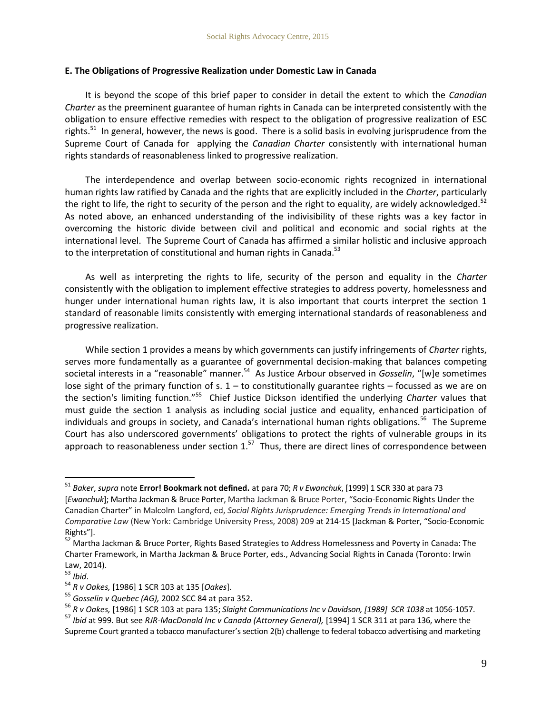#### **E. The Obligations of Progressive Realization under Domestic Law in Canada**

It is beyond the scope of this brief paper to consider in detail the extent to which the *Canadian Charter* as the preeminent guarantee of human rights in Canada can be interpreted consistently with the obligation to ensure effective remedies with respect to the obligation of progressive realization of ESC rights.<sup>51</sup> In general, however, the news is good. There is a solid basis in evolving jurisprudence from the Supreme Court of Canada for applying the *Canadian Charter* consistently with international human rights standards of reasonableness linked to progressive realization.

The interdependence and overlap between socio-economic rights recognized in international human rights law ratified by Canada and the rights that are explicitly included in the *Charter*, particularly the right to life, the right to security of the person and the right to equality, are widely acknowledged.<sup>52</sup> As noted above, an enhanced understanding of the indivisibility of these rights was a key factor in overcoming the historic divide between civil and political and economic and social rights at the international level. The Supreme Court of Canada has affirmed a similar holistic and inclusive approach to the interpretation of constitutional and human rights in Canada.<sup>53</sup>

As well as interpreting the rights to life, security of the person and equality in the *Charter* consistently with the obligation to implement effective strategies to address poverty, homelessness and hunger under international human rights law, it is also important that courts interpret the section 1 standard of reasonable limits consistently with emerging international standards of reasonableness and progressive realization.

While section 1 provides a means by which governments can justify infringements of *Charter* rights, serves more fundamentally as a guarantee of governmental decision-making that balances competing societal interests in a "reasonable" manner. 54 As Justice Arbour observed in *Gosselin*, "[w]e sometimes lose sight of the primary function of s.  $1 -$  to constitutionally guarantee rights – focussed as we are on the section's limiting function."<sup>55</sup> Chief Justice Dickson identified the underlying *Charter* values that must guide the section 1 analysis as including social justice and equality, enhanced participation of individuals and groups in society, and Canada's international human rights obligations.<sup>56</sup> The Supreme Court has also underscored governments' obligations to protect the rights of vulnerable groups in its approach to reasonableness under section  $1.^{57}$  Thus, there are direct lines of correspondence between

<sup>51</sup> *Baker*, *supra* note **Error! Bookmark not defined.** at para 70; *R v Ewanchuk*, [1999] 1 SCR 330 at para 73 [*Ewanchuk*]; Martha Jackman & Bruce Porter, Martha Jackman & Bruce Porter, "Socio-Economic Rights Under the Canadian Charter" in Malcolm Langford, ed, *Social Rights Jurisprudence: Emerging Trends in International and Comparative Law* (New York: Cambridge University Press, 2008) 209 at 214-15 [Jackman & Porter, "Socio-Economic Rights"].

<sup>&</sup>lt;sup>52</sup> Martha Jackman & Bruce Porter, Rights Based Strategies to Address Homelessness and Poverty in Canada: The Charter Framework, in Martha Jackman & Bruce Porter, eds., Advancing Social Rights in Canada (Toronto: Irwin Law, 2014).

<sup>53</sup> *Ibid*.

<sup>54</sup> *R v Oakes,* [1986] 1 SCR 103 at 135 [*Oakes*].

<sup>55</sup> *Gosselin v Quebec (AG),* 2002 SCC 84 at para 352.

<sup>56</sup> *R v Oakes,* [1986] 1 SCR 103 at para 135; *Slaight Communications Inc v Davidson, [1989] SCR 1038* at 1056-1057.

<sup>57</sup> *Ibid* at 999. But see *RJR-MacDonald Inc v Canada (Attorney General),* [1994] 1 SCR 311 at para 136, where the Supreme Court granted a tobacco manufacturer's section 2(b) challenge to federal tobacco advertising and marketing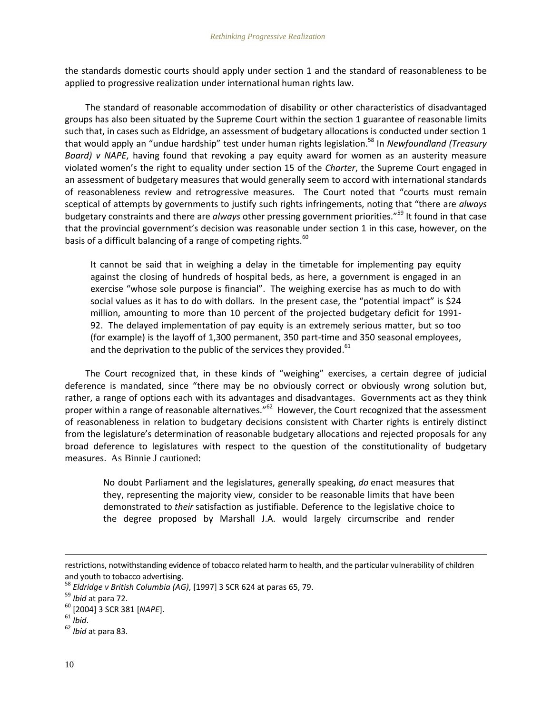the standards domestic courts should apply under section 1 and the standard of reasonableness to be applied to progressive realization under international human rights law.

The standard of reasonable accommodation of disability or other characteristics of disadvantaged groups has also been situated by the Supreme Court within the section 1 guarantee of reasonable limits such that, in cases such as Eldridge, an assessment of budgetary allocations is conducted under section 1 that would apply an "undue hardship" test under human rights legislation.<sup>58</sup> In *Newfoundland (Treasury Board) v NAPE*, having found that revoking a pay equity award for women as an austerity measure violated women's the right to equality under section 15 of the *Charter*, the Supreme Court engaged in an assessment of budgetary measures that would generally seem to accord with international standards of reasonableness review and retrogressive measures. The Court noted that "courts must remain sceptical of attempts by governments to justify such rights infringements, noting that "there are *always* budgetary constraints and there are *always* other pressing government priorities."<sup>59</sup> It found in that case that the provincial government's decision was reasonable under section 1 in this case, however, on the basis of a difficult balancing of a range of competing rights.<sup>60</sup>

<span id="page-10-0"></span>It cannot be said that in weighing a delay in the timetable for implementing pay equity against the closing of hundreds of hospital beds, as here, a government is engaged in an exercise "whose sole purpose is financial". The weighing exercise has as much to do with social values as it has to do with dollars. In the present case, the "potential impact" is \$24 million, amounting to more than 10 percent of the projected budgetary deficit for 1991- 92. The delayed implementation of pay equity is an extremely serious matter, but so too (for example) is the layoff of 1,300 permanent, 350 part-time and 350 seasonal employees, and the deprivation to the public of the services they provided. $61$ 

The Court recognized that, in these kinds of "weighing" exercises, a certain degree of judicial deference is mandated, since "there may be no obviously correct or obviously wrong solution but, rather, a range of options each with its advantages and disadvantages. Governments act as they think proper within a range of reasonable alternatives."<sup>62</sup> However, the Court recognized that the assessment of reasonableness in relation to budgetary decisions consistent with Charter rights is entirely distinct from the legislature's determination of reasonable budgetary allocations and rejected proposals for any broad deference to legislatures with respect to the question of the constitutionality of budgetary measures. As Binnie J cautioned:

No doubt Parliament and the legislatures, generally speaking, *do* enact measures that they, representing the majority view, consider to be reasonable limits that have been demonstrated to *their* satisfaction as justifiable. Deference to the legislative choice to the degree proposed by Marshall J.A. would largely circumscribe and render

restrictions, notwithstanding evidence of tobacco related harm to health, and the particular vulnerability of children and youth to tobacco advertising.

<sup>58</sup> *Eldridge v British Columbia (AG)*, [1997] 3 SCR 624 at paras 65, 79.

<sup>59</sup> *Ibid* at para 72.

<sup>60</sup> [2004] 3 SCR 381 [*NAPE*].

<sup>61</sup> *Ibid*.

<sup>62</sup> *Ibid* at para 83.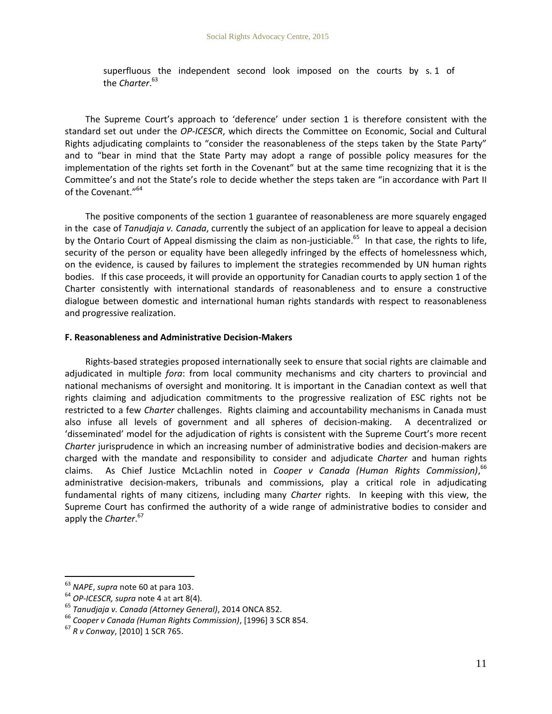superfluous the independent second look imposed on the courts by s. 1 of the *Charter*. 63

The Supreme Court's approach to 'deference' under section 1 is therefore consistent with the standard set out under the *OP-ICESCR*, which directs the Committee on Economic, Social and Cultural Rights adjudicating complaints to "consider the reasonableness of the steps taken by the State Party" and to "bear in mind that the State Party may adopt a range of possible policy measures for the implementation of the rights set forth in the Covenant" but at the same time recognizing that it is the Committee's and not the State's role to decide whether the steps taken are "in accordance with Part II of the Covenant."<sup>64</sup>

The positive components of the section 1 guarantee of reasonableness are more squarely engaged in the case of *Tanudjaja v. Canada*, currently the subject of an application for leave to appeal a decision by the Ontario Court of Appeal dismissing the claim as non-justiciable.<sup>65</sup> In that case, the rights to life, security of the person or equality have been allegedly infringed by the effects of homelessness which, on the evidence, is caused by failures to implement the strategies recommended by UN human rights bodies. If this case proceeds, it will provide an opportunity for Canadian courts to apply section 1 of the Charter consistently with international standards of reasonableness and to ensure a constructive dialogue between domestic and international human rights standards with respect to reasonableness and progressive realization.

#### **F. Reasonableness and Administrative Decision-Makers**

Rights-based strategies proposed internationally seek to ensure that social rights are claimable and adjudicated in multiple *fora*: from local community mechanisms and city charters to provincial and national mechanisms of oversight and monitoring. It is important in the Canadian context as well that rights claiming and adjudication commitments to the progressive realization of ESC rights not be restricted to a few *Charter* challenges. Rights claiming and accountability mechanisms in Canada must also infuse all levels of government and all spheres of decision-making. A decentralized or 'disseminated' model for the adjudication of rights is consistent with the Supreme Court's more recent *Charter* jurisprudence in which an increasing number of administrative bodies and decision-makers are charged with the mandate and responsibility to consider and adjudicate *Charter* and human rights claims. As Chief Justice McLachlin noted in *Cooper v Canada (Human Rights Commission)*, 66 administrative decision-makers, tribunals and commissions, play a critical role in adjudicating fundamental rights of many citizens, including many *Charter* rights. In keeping with this view, the Supreme Court has confirmed the authority of a wide range of administrative bodies to consider and apply the *Charter*. 67

<sup>63</sup> *NAPE*, *supra* note [60](#page-10-0) at para 103.

<sup>64</sup> *OP-ICESCR, supra* note [4](#page-2-0) at art 8(4).

<sup>65</sup> *Tanudjaja v. Canada (Attorney General)*, 2014 ONCA 852.

<sup>66</sup> *Cooper v Canada (Human Rights Commission)*, [1996] 3 SCR 854.

<sup>67</sup> *R v Conway*, [2010] 1 SCR 765.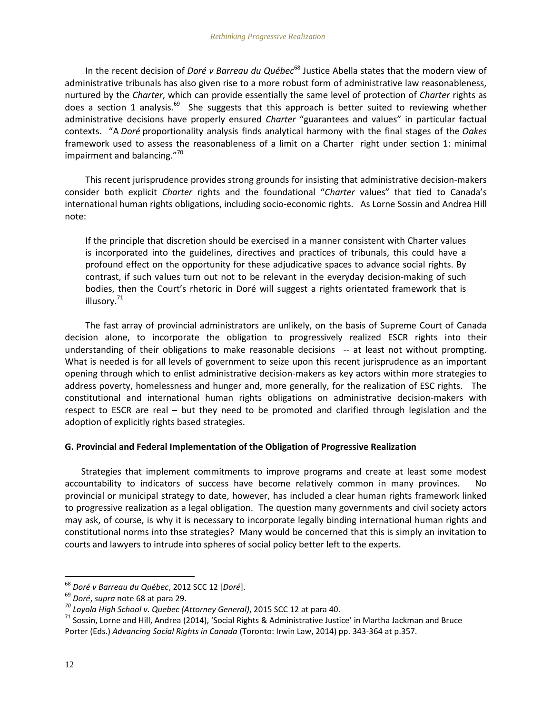<span id="page-12-0"></span>In the recent decision of *Doré v Barreau du Québec*<sup>68</sup> Justice Abella states that the modern view of administrative tribunals has also given rise to a more robust form of administrative law reasonableness, nurtured by the *Charter*, which can provide essentially the same level of protection of *Charter* rights as does a section 1 analysis.<sup>69</sup> She suggests that this approach is better suited to reviewing whether administrative decisions have properly ensured *Charter* "guarantees and values" in particular factual contexts. "A *Doré* proportionality analysis finds analytical harmony with the final stages of the *Oakes*  framework used to assess the reasonableness of a limit on a Charter right under section 1: minimal impairment and balancing."<sup>70</sup>

This recent jurisprudence provides strong grounds for insisting that administrative decision-makers consider both explicit *Charter* rights and the foundational "*Charter* values" that tied to Canada's international human rights obligations, including socio-economic rights. As Lorne Sossin and Andrea Hill note:

If the principle that discretion should be exercised in a manner consistent with Charter values is incorporated into the guidelines, directives and practices of tribunals, this could have a profound effect on the opportunity for these adjudicative spaces to advance social rights. By contrast, if such values turn out not to be relevant in the everyday decision-making of such bodies, then the Court's rhetoric in Doré will suggest a rights orientated framework that is illusory.<sup>71</sup>

The fast array of provincial administrators are unlikely, on the basis of Supreme Court of Canada decision alone, to incorporate the obligation to progressively realized ESCR rights into their understanding of their obligations to make reasonable decisions -- at least not without prompting. What is needed is for all levels of government to seize upon this recent jurisprudence as an important opening through which to enlist administrative decision-makers as key actors within more strategies to address poverty, homelessness and hunger and, more generally, for the realization of ESC rights. The constitutional and international human rights obligations on administrative decision-makers with respect to ESCR are real – but they need to be promoted and clarified through legislation and the adoption of explicitly rights based strategies.

### **G. Provincial and Federal Implementation of the Obligation of Progressive Realization**

Strategies that implement commitments to improve programs and create at least some modest accountability to indicators of success have become relatively common in many provinces. No provincial or municipal strategy to date, however, has included a clear human rights framework linked to progressive realization as a legal obligation. The question many governments and civil society actors may ask, of course, is why it is necessary to incorporate legally binding international human rights and constitutional norms into thse strategies? Many would be concerned that this is simply an invitation to courts and lawyers to intrude into spheres of social policy better left to the experts.

<sup>68</sup> *Doré v Barreau du Québec*, 2012 SCC 12 [*Doré*].

<sup>69</sup> *Doré*, *supra* note [68](#page-12-0) at para 29.

*<sup>70</sup> Loyola High School v. Quebec (Attorney General)*, 2015 SCC 12 at para 40.

<sup>&</sup>lt;sup>71</sup> Sossin, Lorne and Hill, Andrea (2014), 'Social Rights & Administrative Justice' in Martha Jackman and Bruce Porter (Eds.) *Advancing Social Rights in Canada* (Toronto: Irwin Law, 2014) pp. 343-364 at p.357.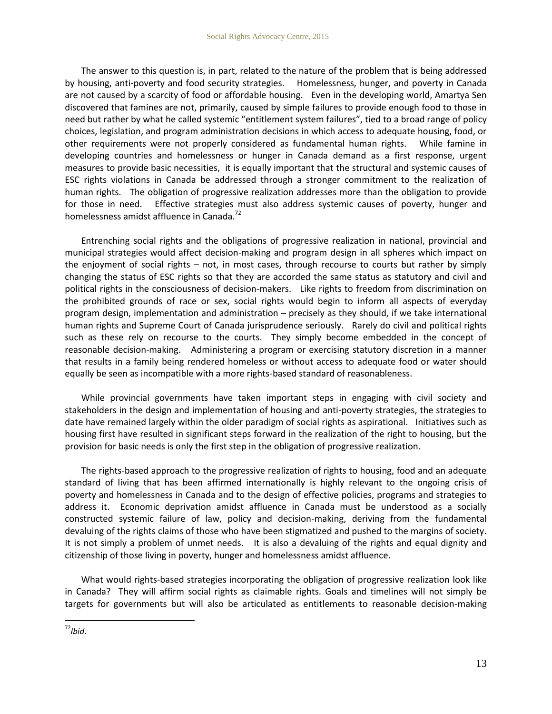The answer to this question is, in part, related to the nature of the problem that is being addressed by housing, anti-poverty and food security strategies. Homelessness, hunger, and poverty in Canada are not caused by a scarcity of food or affordable housing. Even in the developing world, Amartya Sen discovered that famines are not, primarily, caused by simple failures to provide enough food to those in need but rather by what he called systemic "entitlement system failures", tied to a broad range of policy choices, legislation, and program administration decisions in which access to adequate housing, food, or other requirements were not properly considered as fundamental human rights. While famine in developing countries and homelessness or hunger in Canada demand as a first response, urgent measures to provide basic necessities, it is equally important that the structural and systemic causes of ESC rights violations in Canada be addressed through a stronger commitment to the realization of human rights. The obligation of progressive realization addresses more than the obligation to provide for those in need. Effective strategies must also address systemic causes of poverty, hunger and homelessness amidst affluence in Canada.<sup>72</sup>

Entrenching social rights and the obligations of progressive realization in national, provincial and municipal strategies would affect decision-making and program design in all spheres which impact on the enjoyment of social rights – not, in most cases, through recourse to courts but rather by simply changing the status of ESC rights so that they are accorded the same status as statutory and civil and political rights in the consciousness of decision-makers. Like rights to freedom from discrimination on the prohibited grounds of race or sex, social rights would begin to inform all aspects of everyday program design, implementation and administration – precisely as they should, if we take international human rights and Supreme Court of Canada jurisprudence seriously. Rarely do civil and political rights such as these rely on recourse to the courts. They simply become embedded in the concept of reasonable decision-making. Administering a program or exercising statutory discretion in a manner that results in a family being rendered homeless or without access to adequate food or water should equally be seen as incompatible with a more rights-based standard of reasonableness.

While provincial governments have taken important steps in engaging with civil society and stakeholders in the design and implementation of housing and anti-poverty strategies, the strategies to date have remained largely within the older paradigm of social rights as aspirational. Initiatives such as housing first have resulted in significant steps forward in the realization of the right to housing, but the provision for basic needs is only the first step in the obligation of progressive realization.

The rights-based approach to the progressive realization of rights to housing, food and an adequate standard of living that has been affirmed internationally is highly relevant to the ongoing crisis of poverty and homelessness in Canada and to the design of effective policies, programs and strategies to address it. Economic deprivation amidst affluence in Canada must be understood as a socially constructed systemic failure of law, policy and decision-making, deriving from the fundamental devaluing of the rights claims of those who have been stigmatized and pushed to the margins of society. It is not simply a problem of unmet needs. It is also a devaluing of the rights and equal dignity and citizenship of those living in poverty, hunger and homelessness amidst affluence.

What would rights-based strategies incorporating the obligation of progressive realization look like in Canada? They will affirm social rights as claimable rights. Goals and timelines will not simply be targets for governments but will also be articulated as entitlements to reasonable decision-making

 $\overline{a}$  $72$ *Ibid.*